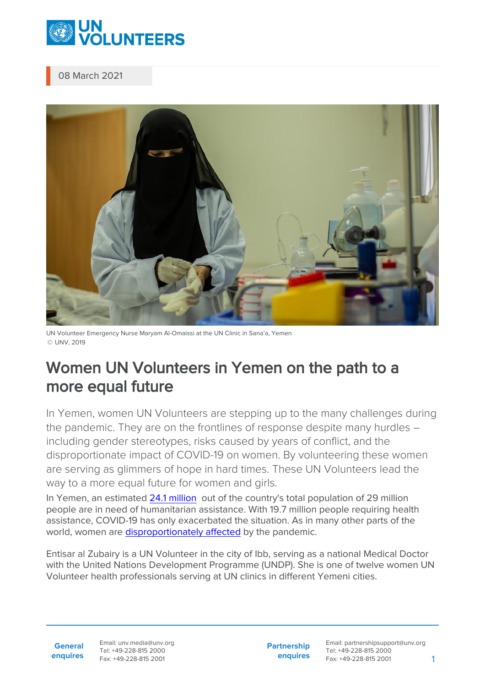

## 08 March 2021



UN Volunteer Emergency Nurse Maryam Al-Omaissi at the UN Clinic in Sana'a, Yemen © UNV, 2019

## Women UN Volunteers in Yemen on the path to a more equal future

In Yemen, women UN Volunteers are stepping up to the many challenges during the pandemic. They are on the frontlines of response despite many hurdles – including gender stereotypes, risks caused by years of conflict, and the disproportionate impact of COVID-19 on women. By volunteering these women are serving as glimmers of hope in hard times. These UN Volunteers lead the way to a more equal future for women and girls.

In Yemen, an estimated [24.1 million](https://www.who.int/health-cluster/countries/yemen/en/) out of the country's total population of 29 million people are in need of humanitarian assistance. With 19.7 million people requiring health assistance, COVID-19 has only exacerbated the situation. As in many other parts of the world, women are [disproportionately affected](https://arabstates.unwomen.org/en/digital-library/publications/2020/05/brief-priorities-for-gender-equality-in-yemen-covid19-response) by the pandemic.

Entisar al Zubairy is a UN Volunteer in the city of Ibb, serving as a national Medical Doctor with the United Nations Development Programme (UNDP). She is one of twelve women UN Volunteer health professionals serving at UN clinics in different Yemeni cities.

**General enquires** Email: unv.media@unv.org Tel: +49-228-815 2000 Fax: +49-228-815 2001

**Partnership enquires** Email: partnershipsupport@unv.org Tel: +49-228-815 2000 Fax: +49-228-815 2001 1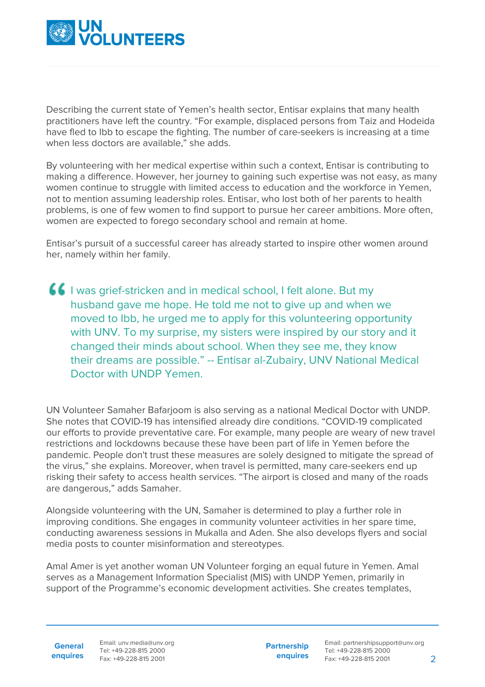

Describing the current state of Yemen's health sector, Entisar explains that many health practitioners have left the country. "For example, displaced persons from Taiz and Hodeida have fled to Ibb to escape the fighting. The number of care-seekers is increasing at a time when less doctors are available," she adds.

By volunteering with her medical expertise within such a context, Entisar is contributing to making a difference. However, her journey to gaining such expertise was not easy, as many women continue to struggle with limited access to education and the workforce in Yemen, not to mention assuming leadership roles. Entisar, who lost both of her parents to health problems, is one of few women to find support to pursue her career ambitions. More often, women are expected to forego secondary school and remain at home.

Entisar's pursuit of a successful career has already started to inspire other women around her, namely within her family.

**If** I was grief-stricken and in medical school, I felt alone. But my husband gave me hope. He told me not to give up and when we moved to Ibb, he urged me to apply for this volunteering opportunity with UNV. To my surprise, my sisters were inspired by our story and it changed their minds about school. When they see me, they know their dreams are possible." -- Entisar al-Zubairy, UNV National Medical Doctor with UNDP Yemen.

UN Volunteer Samaher Bafarjoom is also serving as a national Medical Doctor with UNDP. She notes that COVID-19 has intensified already dire conditions. "COVID-19 complicated our efforts to provide preventative care. For example, many people are weary of new travel restrictions and lockdowns because these have been part of life in Yemen before the pandemic. People don't trust these measures are solely designed to mitigate the spread of the virus," she explains. Moreover, when travel is permitted, many care-seekers end up risking their safety to access health services. "The airport is closed and many of the roads are dangerous," adds Samaher.

Alongside volunteering with the UN, Samaher is determined to play a further role in improving conditions. She engages in community volunteer activities in her spare time, conducting awareness sessions in Mukalla and Aden. She also develops flyers and social media posts to counter misinformation and stereotypes.

Amal Amer is yet another woman UN Volunteer forging an equal future in Yemen. Amal serves as a Management Information Specialist (MIS) with UNDP Yemen, primarily in support of the Programme's economic development activities. She creates templates,

**General enquires** Email: unv.media@unv.org Tel: +49-228-815 2000 Fax: +49-228-815 2001

**Partnership enquires**

Email: partnershipsupport@unv.org Tel: +49-228-815 2000 Fax: +49-228-815 2001 2